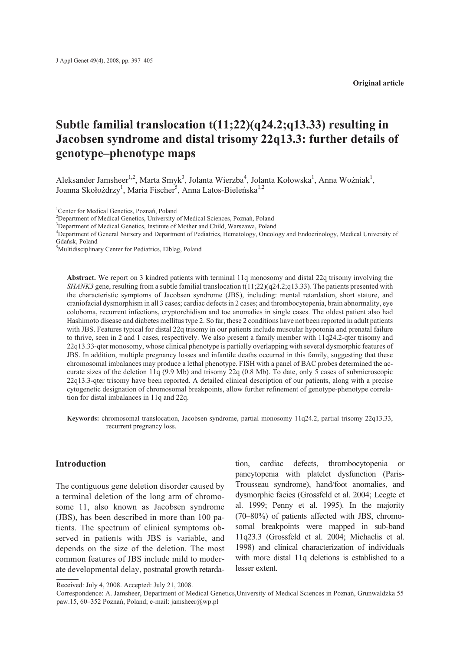**Original article**

# **Subtle familial translocation t(11;22)(q24.2;q13.33) resulting in Jacobsen syndrome and distal trisomy 22q13.3: further details of genotype–phenotype maps**

Aleksander Jamsheer<sup>1,2</sup>, Marta Smyk<sup>3</sup>, Jolanta Wierzba<sup>4</sup>, Jolanta Kołowska<sup>1</sup>, Anna Woźniak<sup>1</sup>, Joanna Skołożdrzy<sup>1</sup>, Maria Fischer<sup>5</sup>, Anna Latos-Bieleńska<sup>1,2</sup>

1 Center for Medical Genetics, Poznañ, Poland

<sup>2</sup>Department of Medical Genetics, University of Medical Sciences, Poznań, Poland

<sup>3</sup>Department of Medical Genetics, Institute of Mother and Child, Warszawa, Poland

4 Department of General Nursery and Department of Pediatrics, Hematology, Oncology and Endocrinology, Medical University of Gdañsk, Poland

<sup>5</sup>Multidisciplinary Center for Pediatrics, Elbląg, Poland

Abstract. We report on 3 kindred patients with terminal 11q monosomy and distal 22q trisomy involving the *SHANK3* gene, resulting from a subtle familial translocation t(11;22)(q24.2;q13.33). The patients presented with the characteristic symptoms of Jacobsen syndrome (JBS), including: mental retardation, short stature, and craniofacial dysmorphism in all 3 cases; cardiac defects in 2 cases; and thrombocytopenia, brain abnormality, eye coloboma, recurrent infections, cryptorchidism and toe anomalies in single cases. The oldest patient also had Hashimoto disease and diabetes mellitus type 2. So far, these 2 conditions have not been reported in adult patients with JBS. Features typical for distal 22q trisomy in our patients include muscular hypotonia and prenatal failure to thrive, seen in 2 and 1 cases, respectively. We also present a family member with 11q24.2-qter trisomy and 22q13.33-qter monosomy, whose clinical phenotype is partially overlapping with several dysmorphic features of JBS. In addition, multiple pregnancy losses and infantile deaths occurred in this family, suggesting that these chromosomal imbalances may produce a lethal phenotype. FISH with a panel of BAC probes determined the accurate sizes of the deletion 11q (9.9 Mb) and trisomy 22q (0.8 Mb). To date, only 5 cases of submicroscopic 22q13.3-qter trisomy have been reported. A detailed clinical description of our patients, along with a precise cytogenetic designation of chromosomal breakpoints, allow further refinement of genotype-phenotype correlation for distal imbalances in 11q and 22q.

**Keywords:** chromosomal translocation, Jacobsen syndrome, partial monosomy 11q24.2, partial trisomy 22q13.33, recurrent pregnancy loss.

## **Introduction**

The contiguous gene deletion disorder caused by a terminal deletion of the long arm of chromosome 11, also known as Jacobsen syndrome (JBS), has been described in more than 100 patients. The spectrum of clinical symptoms observed in patients with JBS is variable, and depends on the size of the deletion. The most common features of JBS include mild to moderate developmental delay, postnatal growth retardation, cardiac defects, thrombocytopenia or pancytopenia with platelet dysfunction (Paris-Trousseau syndrome), hand/foot anomalies, and dysmorphic facies (Grossfeld et al. 2004; Leegte et al. 1999; Penny et al. 1995). In the majority (70–80%) of patients affected with JBS, chromosomal breakpoints were mapped in sub-band 11q23.3 (Grossfeld et al. 2004; Michaelis et al. 1998) and clinical characterization of individuals with more distal 11q deletions is established to a lesser extent.

Received: July 4, 2008. Accepted: July 21, 2008.

Correspondence: A. Jamsheer, Department of Medical Genetics,University of Medical Sciences in Poznañ, Grunwaldzka 55 paw.15, 60–352 Poznañ, Poland; e-mail: jamsheer@wp.pl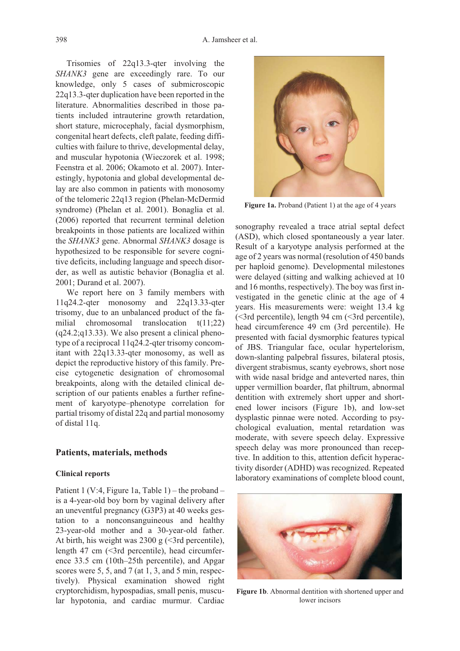Trisomies of 22q13.3-qter involving the *SHANK3* gene are exceedingly rare. To our knowledge, only 5 cases of submicroscopic 22q13.3-qter duplication have been reported in the literature. Abnormalities described in those patients included intrauterine growth retardation, short stature, microcephaly, facial dysmorphism, congenital heart defects, cleft palate, feeding difficulties with failure to thrive, developmental delay, and muscular hypotonia (Wieczorek et al. 1998; Feenstra et al. 2006; Okamoto et al. 2007). Interestingly, hypotonia and global developmental delay are also common in patients with monosomy of the telomeric 22q13 region (Phelan-McDermid syndrome) (Phelan et al. 2001). Bonaglia et al. (2006) reported that recurrent terminal deletion breakpoints in those patients are localized within the *SHANK3* gene. Abnormal *SHANK3* dosage is hypothesized to be responsible for severe cognitive deficits, including language and speech disorder, as well as autistic behavior (Bonaglia et al. 2001; Durand et al. 2007).

We report here on 3 family members with 11q24.2-qter monosomy and 22q13.33-qter trisomy, due to an unbalanced product of the familial chromosomal translocation t(11;22) (q24.2;q13.33). We also present a clinical phenotype of a reciprocal 11q24.2-qter trisomy concomitant with 22q13.33-qter monosomy, as well as depict the reproductive history of this family. Precise cytogenetic designation of chromosomal breakpoints, along with the detailed clinical description of our patients enables a further refinement of karyotype–phenotype correlation for partial trisomy of distal 22q and partial monosomy of distal 11q.

### **Patients, materials, methods**

#### **Clinical reports**

Patient 1 (V:4, Figure 1a, Table 1) – the proband – is a 4-year-old boy born by vaginal delivery after an uneventful pregnancy (G3P3) at 40 weeks gestation to a nonconsanguineous and healthy 23-year-old mother and a 30-year-old father. At birth, his weight was  $2300 \text{ g}$  (<3rd percentile), length 47 cm (<3rd percentile), head circumference 33.5 cm (10th–25th percentile), and Apgar scores were 5, 5, and 7 (at 1, 3, and 5 min, respectively). Physical examination showed right cryptorchidism, hypospadias, small penis, muscular hypotonia, and cardiac murmur. Cardiac



Figure 1a. Proband (Patient 1) at the age of 4 years

sonography revealed a trace atrial septal defect (ASD), which closed spontaneously a year later. Result of a karyotype analysis performed at the age of 2 years was normal (resolution of 450 bands per haploid genome). Developmental milestones were delayed (sitting and walking achieved at 10 and 16 months, respectively). The boy was first investigated in the genetic clinic at the age of 4 years. His measurements were: weight 13.4 kg (<3rd percentile), length 94 cm (<3rd percentile), head circumference 49 cm (3rd percentile). He presented with facial dysmorphic features typical of JBS. Triangular face, ocular hypertelorism, down-slanting palpebral fissures, bilateral ptosis, divergent strabismus, scanty eyebrows, short nose with wide nasal bridge and anteverted nares, thin upper vermillion boarder, flat philtrum, abnormal dentition with extremely short upper and shortened lower incisors (Figure 1b), and low-set dysplastic pinnae were noted. According to psychological evaluation, mental retardation was moderate, with severe speech delay. Expressive speech delay was more pronounced than receptive. In addition to this, attention deficit hyperactivity disorder (ADHD) was recognized. Repeated laboratory examinations of complete blood count,



**Figure 1b**. Abnormal dentition with shortened upper and lower incisors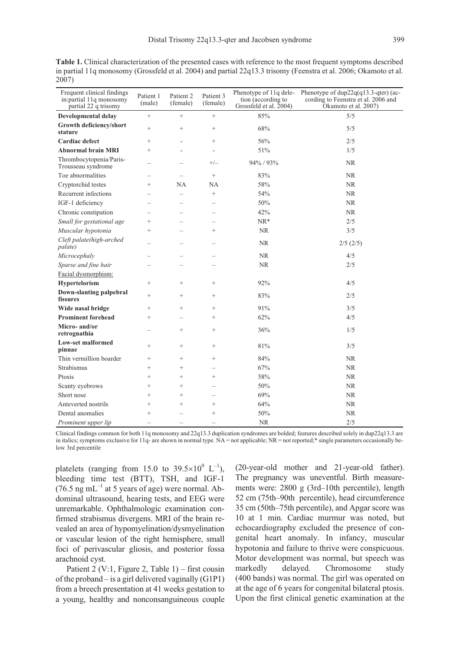**Table 1.** Clinical characterization of the presented cases with reference to the most frequent symptoms described in partial 11q monosomy (Grossfeld et al. 2004) and partial 22q13.3 trisomy (Feenstra et al. 2006; Okamoto et al. 2007)

| Frequent clinical findings<br>in:partial 11q monosomy<br>partial 22 q trisomy | Patient 1<br>(male)      | Patient 2<br>(female)    | Patient 3<br>(female)    | Phenotype of 11q dele-<br>tion (according to<br>Grossfeld et al. 2004) | Phenotype of dup22q(q13.3-qter) (ac-<br>cording to Feenstra et al. 2006 and<br>Okamoto et al. 2007) |
|-------------------------------------------------------------------------------|--------------------------|--------------------------|--------------------------|------------------------------------------------------------------------|-----------------------------------------------------------------------------------------------------|
| Developmental delay                                                           | $^{+}$                   |                          | $+$                      | 85%                                                                    | 5/5                                                                                                 |
| Growth deficiency/short<br>stature                                            | $\ddot{}$                | $^{+}$                   | $\ddot{}$                | 68%                                                                    | 5/5                                                                                                 |
| Cardiac defect                                                                | $^{+}$                   | $\bar{a}$                | $^{+}$                   | 56%                                                                    | 2/5                                                                                                 |
| <b>Abnormal brain MRI</b>                                                     | $^{+}$                   | ÷.                       | ÷,                       | 51%                                                                    | 1/5                                                                                                 |
| Thrombocytopenia/Paris-<br>Trousseau syndrome                                 |                          | $\overline{\phantom{a}}$ | $+/-$                    | 94% / 93%                                                              | <b>NR</b>                                                                                           |
| Toe abnormalities                                                             | $\overline{\phantom{0}}$ | <u>—</u>                 | $\! +$                   | 83%                                                                    | <b>NR</b>                                                                                           |
| Cryptorchid testes                                                            | $^{+}$                   | <b>NA</b>                | NA                       | 58%                                                                    | <b>NR</b>                                                                                           |
| Recurrent infections                                                          |                          | $\overline{\phantom{0}}$ | $^{+}$                   | 54%                                                                    | NR.                                                                                                 |
| IGF-1 deficiency                                                              |                          |                          |                          | 50%                                                                    | <b>NR</b>                                                                                           |
| Chronic constipation                                                          |                          |                          |                          | 42%                                                                    | <b>NR</b>                                                                                           |
| Small for gestational age                                                     | $^{+}$                   |                          | $\overline{\phantom{0}}$ | $NR*$                                                                  | 2/5                                                                                                 |
| Muscular hypotonia                                                            | $^{+}$                   |                          | $^{+}$                   | <b>NR</b>                                                              | 3/5                                                                                                 |
| Cleft palate(high-arched<br>palate)                                           |                          | $\overline{\phantom{0}}$ | $\overline{\phantom{0}}$ | <b>NR</b>                                                              | 2/5(2/5)                                                                                            |
| Microcephaly                                                                  |                          |                          |                          | <b>NR</b>                                                              | 4/5                                                                                                 |
| Sparse and fine hair                                                          |                          |                          |                          | <b>NR</b>                                                              | 2/5                                                                                                 |
| Facial dysmorphism:                                                           |                          |                          |                          |                                                                        |                                                                                                     |
| Hypertelorism                                                                 | $^{+}$                   | $^{+}$                   | $\qquad \qquad +$        | 92%                                                                    | 4/5                                                                                                 |
| Down-slanting palpebral<br>fissures                                           | $+$                      | $^{+}$                   | $^{+}$                   | 83%                                                                    | 2/5                                                                                                 |
| Wide nasal bridge                                                             | $^{+}$                   | $^{+}$                   | $^{+}$                   | 91%                                                                    | 3/5                                                                                                 |
| <b>Prominent forehead</b>                                                     | $^{+}$                   |                          | $^{+}$                   | 62%                                                                    | 4/5                                                                                                 |
| Micro-and/or<br>retrognathia                                                  |                          | $\qquad \qquad +$        | $^{+}$                   | 36%                                                                    | 1/5                                                                                                 |
| Low-set malformed<br>pinnae                                                   | $^{+}$                   | $^{+}$                   | $+$                      | 81%                                                                    | 3/5                                                                                                 |
| Thin vermillion boarder                                                       | $^{+}$                   | $^{+}$                   | $^{+}$                   | 84%                                                                    | <b>NR</b>                                                                                           |
| Strabismus                                                                    | $^{+}$                   | $^{+}$                   |                          | 67%                                                                    | <b>NR</b>                                                                                           |
| Ptosis                                                                        | $^{+}$                   | $^{+}$                   | $^{+}$                   | 58%                                                                    | <b>NR</b>                                                                                           |
| Scanty eyebrows                                                               | $^{+}$                   | $^{+}$                   | $\equiv$                 | 50%                                                                    | <b>NR</b>                                                                                           |
| Short nose                                                                    | $^{+}$                   | $^{+}$                   | $\overline{\phantom{0}}$ | 69%                                                                    | <b>NR</b>                                                                                           |
| Anteverted nostrils                                                           | $^{+}$                   | $^{+}$                   | $^{+}$                   | 64%                                                                    | <b>NR</b>                                                                                           |
| Dental anomalies                                                              | $^{+}$                   |                          | $^{+}$                   | 50%                                                                    | <b>NR</b>                                                                                           |
| Prominent upper lip                                                           | $\equiv$                 | $\overline{\phantom{0}}$ |                          | <b>NR</b>                                                              | 2/5                                                                                                 |

Clinical findings common for both 11q monosomy and 22q13.3 duplication syndromes are bolded; features described solely in dup22q13.3 are in italics; symptoms exclusive for 11q- are shown in normal type. NA = not applicable; NR = not reported;\* single parameters occasionally below 3rd percentile

platelets (ranging from 15.0 to  $39.5 \times 10^{9}$  L<sup>-1</sup>), bleeding time test (BTT), TSH, and IGF-1 (76.5 ng mL $^{-1}$  at 5 years of age) were normal. Abdominal ultrasound, hearing tests, and EEG were unremarkable. Ophthalmologic examination confirmed strabismus divergens. MRI of the brain revealed an area of hypomyelination/dysmyelination or vascular lesion of the right hemisphere, small foci of perivascular gliosis, and posterior fossa arachnoid cyst.

Patient 2 (V:1, Figure 2, Table 1) – first cousin of the proband – is a girl delivered vaginally (G1P1) from a breech presentation at 41 weeks gestation to a young, healthy and nonconsanguineous couple (20-year-old mother and 21-year-old father). The pregnancy was uneventful. Birth measurements were: 2800 g (3rd–10th percentile), length 52 cm (75th–90th percentile), head circumference 35 cm (50th–75th percentile), and Apgar score was 10 at 1 min. Cardiac murmur was noted, but echocardiography excluded the presence of congenital heart anomaly. In infancy, muscular hypotonia and failure to thrive were conspicuous. Motor development was normal, but speech was markedly delayed. Chromosome study (400 bands) was normal. The girl was operated on at the age of 6 years for congenital bilateral ptosis. Upon the first clinical genetic examination at the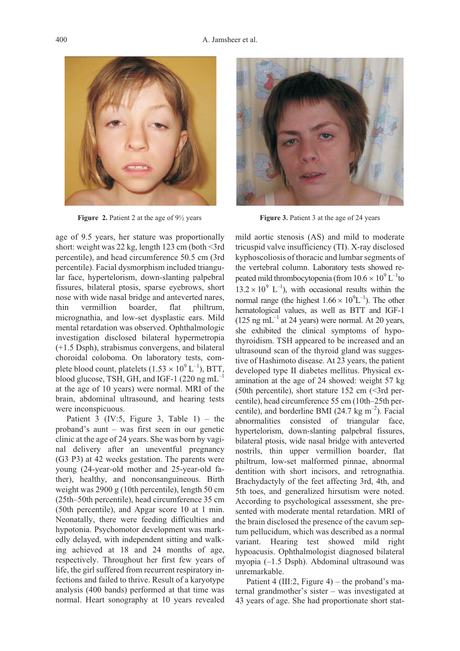

age of 9.5 years, her stature was proportionally short: weight was  $22 \text{ kg}$ , length 123 cm (both  $\leq$ 3rd percentile), and head circumference 50.5 cm (3rd percentile). Facial dysmorphism included triangular face, hypertelorism, down-slanting palpebral fissures, bilateral ptosis, sparse eyebrows, short nose with wide nasal bridge and anteverted nares, thin vermillion boarder, flat philtrum, micrognathia, and low-set dysplastic ears. Mild mental retardation was observed. Ophthalmologic investigation disclosed bilateral hypermetropia (+1.5 Dsph), strabismus convergens, and bilateral choroidal coloboma. On laboratory tests, complete blood count, platelets  $(1.53 \times 10^9 \,\mathrm{L}^{-1})$ , BTT, blood glucose, TSH, GH, and IGF-1 (220 ng mL $^{-1}$ ) at the age of 10 years) were normal. MRI of the brain, abdominal ultrasound, and hearing tests were inconspicuous.

Patient 3 (IV:5, Figure 3, Table 1) – the proband's aunt – was first seen in our genetic clinic at the age of 24 years. She was born by vaginal delivery after an uneventful pregnancy (G3 P3) at 42 weeks gestation. The parents were young (24-year-old mother and 25-year-old father), healthy, and nonconsanguineous. Birth weight was 2900 g (10th percentile), length 50 cm (25th–50th percentile), head circumference 35 cm (50th percentile), and Apgar score 10 at 1 min. Neonatally, there were feeding difficulties and hypotonia. Psychomotor development was markedly delayed, with independent sitting and walking achieved at 18 and 24 months of age, respectively. Throughout her first few years of life, the girl suffered from recurrent respiratory infections and failed to thrive. Result of a karyotype analysis (400 bands) performed at that time was normal. Heart sonography at 10 years revealed



**Figure 2.** Patient 2 at the age of  $9\frac{1}{2}$  years **Figure 3.** Patient 3 at the age of 24 years

mild aortic stenosis (AS) and mild to moderate tricuspid valve insufficiency (TI). X-ray disclosed kyphoscoliosis of thoracic and lumbar segments of the vertebral column. Laboratory tests showed repeated mild thrombocytopenia (from  $10.6 \times 10^9$  L<sup>-1</sup>to  $13.2 \times 10^{9}$  L<sup>-1</sup>), with occasional results within the normal range (the highest  $1.66 \times 10^{9}$ L<sup>-1</sup>). The other hematological values, as well as BTT and IGF-1  $(125 \text{ ng } mL^{-1}$  at 24 years) were normal. At 20 years, she exhibited the clinical symptoms of hypothyroidism. TSH appeared to be increased and an ultrasound scan of the thyroid gland was suggestive of Hashimoto disease. At 23 years, the patient developed type II diabetes mellitus. Physical examination at the age of 24 showed: weight 57 kg (50th percentile), short stature  $152 \text{ cm}$  (<3rd percentile), head circumference 55 cm (10th–25th percentile), and borderline BMI (24.7 kg  $m^{-2}$ ). Facial abnormalities consisted of triangular face, hypertelorism, down-slanting palpebral fissures, bilateral ptosis, wide nasal bridge with anteverted nostrils, thin upper vermillion boarder, flat philtrum, low-set malformed pinnae, abnormal dentition with short incisors, and retrognathia. Brachydactyly of the feet affecting 3rd, 4th, and 5th toes, and generalized hirsutism were noted. According to psychological assessment, she presented with moderate mental retardation. MRI of the brain disclosed the presence of the cavum septum pellucidum, which was described as a normal variant. Hearing test showed mild right hypoacusis. Ophthalmologist diagnosed bilateral myopia (–1.5 Dsph). Abdominal ultrasound was unremarkable.

Patient 4 (III:2, Figure 4) – the proband's maternal grandmother's sister – was investigated at 43 years of age. She had proportionate short stat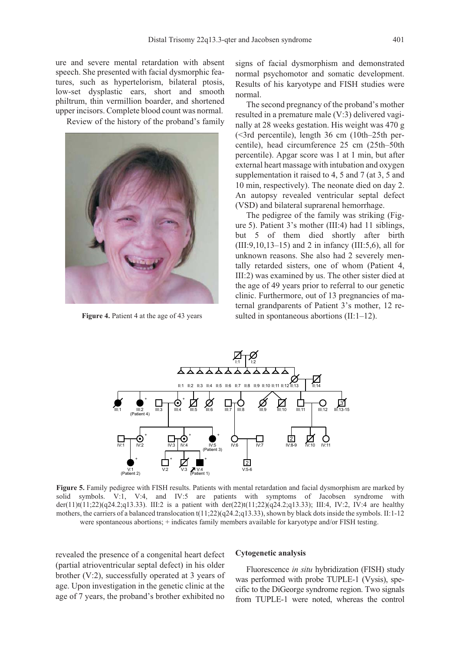ure and severe mental retardation with absent speech. She presented with facial dysmorphic features, such as hypertelorism, bilateral ptosis, low-set dysplastic ears, short and smooth philtrum, thin vermillion boarder, and shortened upper incisors. Complete blood count was normal.

Review of the history of the proband's family



**Figure 4.** Patient 4 at the age of 43 years

signs of facial dysmorphism and demonstrated normal psychomotor and somatic development. Results of his karyotype and FISH studies were normal.

The second pregnancy of the proband's mother resulted in a premature male (V:3) delivered vaginally at 28 weeks gestation. His weight was 470 g (<3rd percentile), length 36 cm (10th–25th percentile), head circumference 25 cm (25th–50th percentile). Apgar score was 1 at 1 min, but after external heart massage with intubation and oxygen supplementation it raised to 4, 5 and 7 (at 3, 5 and 10 min, respectively). The neonate died on day 2. An autopsy revealed ventricular septal defect (VSD) and bilateral suprarenal hemorrhage.

The pedigree of the family was striking (Figure 5). Patient 3's mother (III:4) had 11 siblings, but 5 of them died shortly after birth (III:9,10,13–15) and 2 in infancy (III:5,6), all for unknown reasons. She also had 2 severely mentally retarded sisters, one of whom (Patient 4, III:2) was examined by us. The other sister died at the age of 49 years prior to referral to our genetic clinic. Furthermore, out of 13 pregnancies of maternal grandparents of Patient 3's mother, 12 resulted in spontaneous abortions (II:1–12).



**Figure 5.** Family pedigree with FISH results. Patients with mental retardation and facial dysmorphism are marked by solid symbols. V:1, V:4, and IV:5 are patients with symptoms of Jacobsen syndrome with der(11)t(11;22)(q24.2;q13.33). III:2 is a patient with der(22)t(11;22)(q24.2;q13.33); III:4, IV:2, IV:4 are healthy mothers, the carriers of a balanced translocation t(11;22)(q24.2;q13.33), shown by black dots inside the symbols. II:1-12 were spontaneous abortions; + indicates family members available for karyotype and/or FISH testing.

revealed the presence of a congenital heart defect (partial atrioventricular septal defect) in his older brother (V:2), successfully operated at 3 years of age. Upon investigation in the genetic clinic at the age of 7 years, the proband's brother exhibited no

#### **Cytogenetic analysis**

Fluorescence *in situ* hybridization (FISH) study was performed with probe TUPLE-1 (Vysis), specific to the DiGeorge syndrome region. Two signals from TUPLE-1 were noted, whereas the control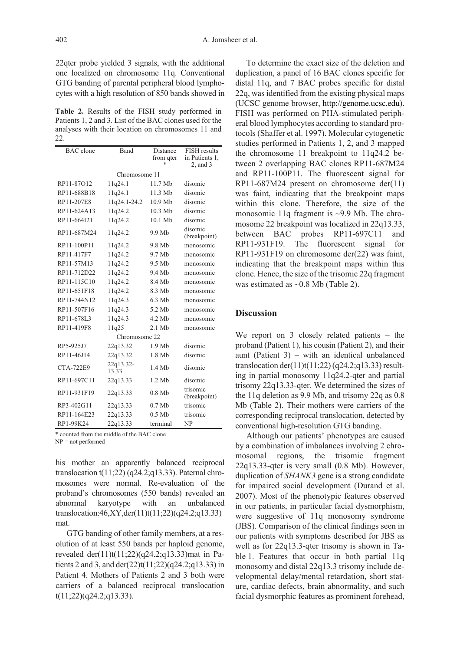22qter probe yielded 3 signals, with the additional one localized on chromosome 11q. Conventional GTG banding of parental peripheral blood lymphocytes with a high resolution of 850 bands showed in

**Table 2.** Results of the FISH study performed in Patients 1, 2 and 3. List of the BAC clones used for the analyses with their location on chromosomes 11 and 22.

| <b>BAC</b> clone | Band               | Distance<br>from qter<br>* | <b>FISH</b> results<br>in Patients 1,<br>$2$ , and $3$ |  |  |  |  |
|------------------|--------------------|----------------------------|--------------------------------------------------------|--|--|--|--|
| Chromosome 11    |                    |                            |                                                        |  |  |  |  |
| RP11-87O12       | 11q24.1            | 11.7 Mb                    | disomic                                                |  |  |  |  |
| RP11-688B18      | 11q24.1            | $11.3$ Mb                  | disomic                                                |  |  |  |  |
| RP11-207E8       | 11q24.1-24.2       | $10.9$ Mb                  | disomic                                                |  |  |  |  |
| RP11-624A13      | 11q24.2            | 10.3 Mb                    | disomic                                                |  |  |  |  |
| RP11-664I21      | 11q24.2            | 10.1 Mb                    | disomic                                                |  |  |  |  |
| RP11-687M24      | 11q24.2            | 9.9 Mb                     | disomic<br>(breakpoint)                                |  |  |  |  |
| RP11-100P11      | 11q24.2            | 9.8 Mb                     | monosomic                                              |  |  |  |  |
| RP11-417F7       | 11q24.2            | 9.7 Mb                     | monosomic                                              |  |  |  |  |
| RP11-57M13       | 11q24.2            | 9.5 Mb                     | monosomic                                              |  |  |  |  |
| RP11-712D22      | 11q24.2            | 9.4 Mb                     | monosomic                                              |  |  |  |  |
| RP11-115C10      | 11q24.2            | 8.4 Mb                     | monosomic                                              |  |  |  |  |
| RP11-651F18      | 11q24.2            | 8.3 Mb                     | monosomic                                              |  |  |  |  |
| RP11-744N12      | 11q24.3            | 6.3 Mb                     | monosomic                                              |  |  |  |  |
| RP11-507F16      | 11q24.3            | 5.2 Mb                     | monosomic                                              |  |  |  |  |
| RP11-678L3       | 11q24.3            | 4.2 Mb                     | monosomic                                              |  |  |  |  |
| RP11-419F8       | 11q25              | $2.1$ Mb                   | monosomic                                              |  |  |  |  |
| Chromosome 22    |                    |                            |                                                        |  |  |  |  |
| RP5-925J7        | 22q13.32           | $1.9$ Mb                   | disomic                                                |  |  |  |  |
| RP11-46J14       | 22q13.32           | 1.8 Mb                     | disomic                                                |  |  |  |  |
| <b>CTA-722E9</b> | 22q13.32-<br>13.33 | 1.4 Mb                     | disomic                                                |  |  |  |  |
| RP11-697C11      | 22q13.33           | 1.2 Mb                     | disomic                                                |  |  |  |  |
| RP11-931F19      | 22q13.33           | $0.8$ Mb                   | trisomic<br>(breakpoint)                               |  |  |  |  |
| RP3-402G11       | 22q13.33           | $0.7$ Mb                   | trisomic                                               |  |  |  |  |
| RP11-164E23      | 22q13.33           | $0.5$ Mb                   | trisomic                                               |  |  |  |  |
| RP1-99K24        | 22q13.33           | terminal                   | NP                                                     |  |  |  |  |

\* counted from the middle of the BAC clone

NP = not performed

his mother an apparently balanced reciprocal translocation  $t(11;22)$  (q24.2;q13.33). Paternal chromosomes were normal. Re-evaluation of the proband's chromosomes (550 bands) revealed an abnormal karyotype with an unbalanced translocation:46,XY,der(11)t(11;22)(q24.2;q13.33) mat.

GTG banding of other family members, at a resolution of at least 550 bands per haploid genome, revealed der(11)t(11;22)(q24.2;q13.33)mat in Patients 2 and 3, and der(22)t(11;22)(q24.2;q13.33) in Patient 4. Mothers of Patients 2 and 3 both were carriers of a balanced reciprocal translocation t(11;22)(q24.2;q13.33).

To determine the exact size of the deletion and duplication, a panel of 16 BAC clones specific for distal 11q, and 7 BAC probes specific for distal 22q, was identified from the existing physical maps (UCSC genome browser, http://genome.ucsc.edu). FISH was performed on PHA-stimulated peripheral blood lymphocytes according to standard protocols (Shaffer et al. 1997). Molecular cytogenetic studies performed in Patients 1, 2, and 3 mapped the chromosome 11 breakpoint to 11q24.2 between 2 overlapping BAC clones RP11-687M24 and RP11-100P11. The fluorescent signal for RP11-687M24 present on chromosome der(11) was faint, indicating that the breakpoint maps within this clone. Therefore, the size of the monosomic 11q fragment is ~9.9 Mb. The chromosome 22 breakpoint was localized in 22q13.33, between BAC probes RP11-697C11 and RP11-931F19. The fluorescent signal for RP11-931F19 on chromosome der(22) was faint, indicating that the breakpoint maps within this clone. Hence, the size of the trisomic 22q fragment was estimated as ~0.8 Mb (Table 2).

## **Discussion**

We report on 3 closely related patients – the proband (Patient 1), his cousin (Patient 2), and their aunt (Patient 3) – with an identical unbalanced translocation der(11)t(11;22)( $q24.2;q13.33$ ) resulting in partial monosomy 11q24.2-qter and partial trisomy 22q13.33-qter. We determined the sizes of the 11q deletion as 9.9 Mb, and trisomy 22q as 0.8 Mb (Table 2). Their mothers were carriers of the corresponding reciprocal translocation, detected by conventional high-resolution GTG banding.

Although our patients' phenotypes are caused by a combination of imbalances involving 2 chromosomal regions, the trisomic fragment 22q13.33-qter is very small (0.8 Mb). However, duplication of *SHANK3* gene is a strong candidate for impaired social development (Durand et al. 2007). Most of the phenotypic features observed in our patients, in particular facial dysmorphism, were suggestive of 11q monosomy syndrome (JBS). Comparison of the clinical findings seen in our patients with symptoms described for JBS as well as for 22q13.3-qter trisomy is shown in Table 1. Features that occur in both partial 11q monosomy and distal 22q13.3 trisomy include developmental delay/mental retardation, short stature, cardiac defects, brain abnormality, and such facial dysmorphic features as prominent forehead,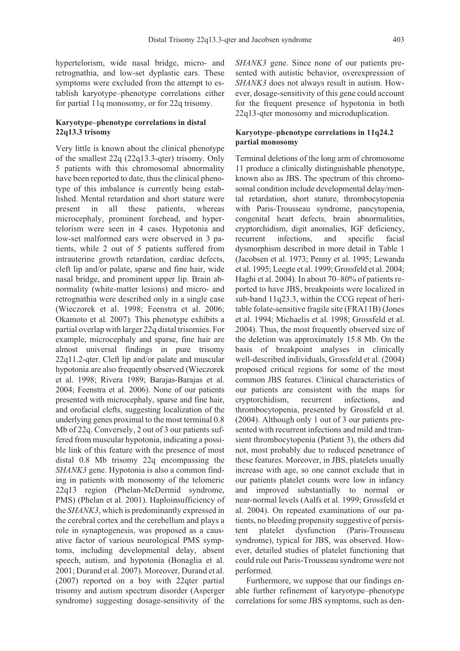hypertelorism, wide nasal bridge, micro- and retrognathia, and low-set dyplastic ears. These symptoms were excluded from the attempt to establish karyotype–phenotype correlations either for partial 11q monosomy, or for 22q trisomy.

## **Karyotype–phenotype correlations in distal 22q13.3 trisomy**

Very little is known about the clinical phenotype of the smallest 22q (22q13.3-qter) trisomy. Only 5 patients with this chromosomal abnormality have been reported to date, thus the clinical phenotype of this imbalance is currently being established. Mental retardation and short stature were present in all these patients, whereas microcephaly, prominent forehead, and hypertelorism were seen in 4 cases. Hypotonia and low-set malformed ears were observed in 3 patients, while 2 out of 5 patients suffered from intrauterine growth retardation, cardiac defects, cleft lip and/or palate, sparse and fine hair, wide nasal bridge, and prominent upper lip. Brain abnormality (white-matter lesions) and micro- and retrognathia were described only in a single case (Wieczorek et al. 1998; Feenstra et al. 2006; Okamoto et al. 2007). This phenotype exhibits a partial overlap with larger 22q distal trisomies. For example, microcephaly and sparse, fine hair are almost universal findings in pure trisomy 22q11.2-qter. Cleft lip and/or palate and muscular hypotonia are also frequently observed (Wieczorek et al. 1998; Rivera 1989; Barajas-Barajas et al. 2004; Feenstra et al. 2006). None of our patients presented with microcephaly, sparse and fine hair, and orofacial clefts, suggesting localization of the underlying genes proximal to the most terminal 0.8 Mb of 22q. Conversely, 2 out of 3 our patients suffered from muscular hypotonia, indicating a possible link of this feature with the presence of most distal 0.8 Mb trisomy 22q encompassing the *SHANK3* gene. Hypotonia is also a common finding in patients with monosomy of the telomeric 22q13 region (Phelan-McDermid syndrome, PMS) (Phelan et al. 2001). Haploinsufficiency of the *SHANK3*, which is predominantly expressed in the cerebral cortex and the cerebellum and plays a role in synaptogenesis, was proposed as a causative factor of various neurological PMS symptoms, including developmental delay, absent speech, autism, and hypotonia (Bonaglia et al. 2001; Durand et al. 2007). Moreover, Durand et al. (2007) reported on a boy with 22qter partial trisomy and autism spectrum disorder (Asperger syndrome) suggesting dosage-sensitivity of the *SHANK3* gene. Since none of our patients presented with autistic behavior, overexpression of *SHANK3* does not always result in autism. However, dosage-sensitivity of this gene could account for the frequent presence of hypotonia in both 22q13-qter monosomy and microduplication.

## **Karyotype–phenotype correlations in 11q24.2 partial monosomy**

Terminal deletions of the long arm of chromosome 11 produce a clinically distinguishable phenotype, known also as JBS. The spectrum of this chromosomal condition include developmental delay/mental retardation, short stature, thrombocytopenia with Paris-Trousseau syndrome, pancytopenia, congenital heart defects, brain abnormalities, cryptorchidism, digit anomalies, IGF deficiency, recurrent infections, and specific facial dysmorphism described in more detail in Table 1 (Jacobsen et al. 1973; Penny et al. 1995; Lewanda et al. 1995; Leegte et al. 1999; Grossfeld et al. 2004; Haghi et al. 2004). In about 70–80% of patients reported to have JBS, breakpoints were localized in sub-band 11q23.3, within the CCG repeat of heritable folate-sensitive fragile site (FRA11B) (Jones et al. 1994; Michaelis et al. 1998; Grossfeld et al. 2004). Thus, the most frequently observed size of the deletion was approximately 15.8 Mb. On the basis of breakpoint analyses in clinically well-described individuals, Grossfeld et al. (2004) proposed critical regions for some of the most common JBS features. Clinical characteristics of our patients are consistent with the maps for cryptorchidism, recurrent infections, and thrombocytopenia, presented by Grossfeld et al. (2004). Although only 1 out of 3 our patients presented with recurrent infections and mild and transient thrombocytopenia (Patient 3), the others did not, most probably due to reduced penetrance of these features. Moreover, in JBS, platelets usually increase with age, so one cannot exclude that in our patients platelet counts were low in infancy and improved substantially to normal or near-normal levels (Aalfs et al. 1999; Grossfeld et al. 2004). On repeated examinations of our patients, no bleeding propensity suggestive of persistent platelet dysfunction (Paris-Trousseau syndrome), typical for JBS, was observed. However, detailed studies of platelet functioning that could rule out Paris-Trousseau syndrome were not performed.

Furthermore, we suppose that our findings enable further refinement of karyotype–phenotype correlations for some JBS symptoms, such as den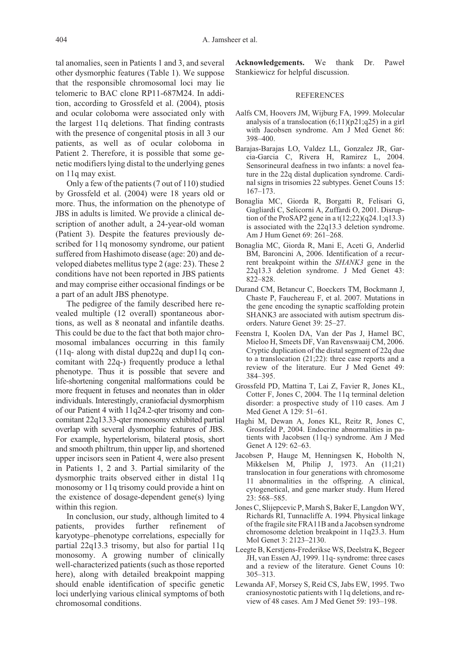tal anomalies, seen in Patients 1 and 3, and several other dysmorphic features (Table 1). We suppose that the responsible chromosomal loci may lie telomeric to BAC clone RP11-687M24. In addition, according to Grossfeld et al. (2004), ptosis and ocular coloboma were associated only with the largest 11q deletions. That finding contrasts with the presence of congenital ptosis in all 3 our patients, as well as of ocular coloboma in Patient 2. Therefore, it is possible that some genetic modifiers lying distal to the underlying genes on 11q may exist.

Only a few of the patients (7 out of 110) studied by Grossfeld et al. (2004) were 18 years old or more. Thus, the information on the phenotype of JBS in adults is limited. We provide a clinical description of another adult, a 24-year-old woman (Patient 3). Despite the features previously described for 11q monosomy syndrome, our patient suffered from Hashimoto disease (age: 20) and developed diabetes mellitus type 2 (age: 23). These 2 conditions have not been reported in JBS patients and may comprise either occasional findings or be a part of an adult JBS phenotype.

The pedigree of the family described here revealed multiple (12 overall) spontaneous abortions, as well as 8 neonatal and infantile deaths. This could be due to the fact that both major chromosomal imbalances occurring in this family (11q- along with distal dup22q and dup11q concomitant with 22q-) frequently produce a lethal phenotype. Thus it is possible that severe and life-shortening congenital malformations could be more frequent in fetuses and neonates than in older individuals. Interestingly, craniofacial dysmorphism of our Patient 4 with 11q24.2-qter trisomy and concomitant 22q13.33-qter monosomy exhibited partial overlap with several dysmorphic features of JBS. For example, hypertelorism, bilateral ptosis, short and smooth philtrum, thin upper lip, and shortened upper incisors seen in Patient 4, were also present in Patients 1, 2 and 3. Partial similarity of the dysmorphic traits observed either in distal 11q monosomy or 11q trisomy could provide a hint on the existence of dosage-dependent gene(s) lying within this region.

In conclusion, our study, although limited to 4 patients, provides further refinement of karyotype–phenotype correlations, especially for partial 22q13.3 trisomy, but also for partial 11q monosomy. A growing number of clinically well-characterized patients (such as those reported here), along with detailed breakpoint mapping should enable identification of specific genetic loci underlying various clinical symptoms of both chromosomal conditions.

Acknowledgements. We thank Dr. Paweł Stankiewicz for helpful discussion.

#### REFERENCES

- Aalfs CM, Hoovers JM, Wijburg FA, 1999. Molecular analysis of a translocation  $(6;11)(p21;q25)$  in a girl with Jacobsen syndrome. Am J Med Genet 86: 398–400.
- Barajas-Barajas LO, Valdez LL, Gonzalez JR, Garcia-Garcia C, Rivera H, Ramirez L, 2004. Sensorineural deafness in two infants: a novel feature in the 22q distal duplication syndrome. Cardinal signs in trisomies 22 subtypes. Genet Couns 15: 167–173.
- Bonaglia MC, Giorda R, Borgatti R, Felisari G, Gagliardi C, Selicorni A, Zuffardi O, 2001. Disruption of the ProSAP2 gene in a t(12;22)(q24.1;q13.3) is associated with the 22q13.3 deletion syndrome. Am J Hum Genet 69: 261–268.
- Bonaglia MC, Giorda R, Mani E, Aceti G, Anderlid BM, Baroncini A, 2006. Identification of a recurrent breakpoint within the *SHANK3* gene in the 22q13.3 deletion syndrome. J Med Genet 43: 822–828.
- Durand CM, Betancur C, Boeckers TM, Bockmann J, Chaste P, Fauchereau F, et al. 2007. Mutations in the gene encoding the synaptic scaffolding protein SHANK3 are associated with autism spectrum disorders. Nature Genet 39: 25–27.
- Feenstra I, Koolen DA, Van der Pas J, Hamel BC, Mieloo H, Smeets DF, Van Ravenswaaij CM, 2006. Cryptic duplication of the distal segment of 22q due to a translocation (21;22): three case reports and a review of the literature. Eur J Med Genet 49: 384–395.
- Grossfeld PD, Mattina T, Lai Z, Favier R, Jones KL, Cotter F, Jones C, 2004. The 11q terminal deletion disorder: a prospective study of 110 cases. Am J Med Genet A 129: 51–61.
- Haghi M, Dewan A, Jones KL, Reitz R, Jones C, Grossfeld P, 2004. Endocrine abnormalities in patients with Jacobsen (11q-) syndrome. Am J Med Genet A 129: 62–63.
- Jacobsen P, Hauge M, Henningsen K, Hobolth N, Mikkelsen M, Philip J, 1973. An (11;21) translocation in four generations with chromosome 11 abnormalities in the offspring. A clinical, cytogenetical, and gene marker study. Hum Hered 23: 568–585.
- Jones C, Slijepcevic P, Marsh S, Baker E, Langdon WY, Richards RI, Tunnacliffe A. 1994. Physical linkage of the fragile site FRA11B and a Jacobsen syndrome chromosome deletion breakpoint in 11q23.3. Hum Mol Genet 3: 2123–2130.
- Leegte B, Kerstjens-Frederikse WS, Deelstra K, Begeer JH, van Essen AJ, 1999. 11q- syndrome: three cases and a review of the literature. Genet Couns 10: 305–313.
- Lewanda AF, Morsey S, Reid CS, Jabs EW, 1995. Two craniosynostotic patients with 11q deletions, and review of 48 cases. Am J Med Genet 59: 193–198.